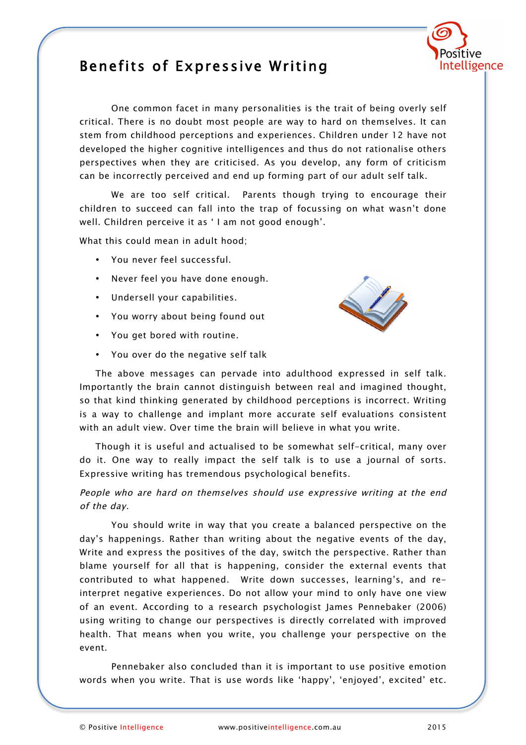

## Benefits of Expressive Writing

One common facet in many personalities is the trait of being overly self critical. There is no doubt most people are way to hard on themselves. It can stem from childhood perceptions and experiences. Children under 12 have not developed the higher cognitive intelligences and thus do not rationalise others perspectives when they are criticised. As you develop, any form of criticism can be incorrectly perceived and end up forming part of our adult self talk.

We are too self critical. Parents though trying to encourage their children to succeed can fall into the trap of focussing on what wasn't done well. Children perceive it as ' I am not good enough'.

What this could mean in adult hood;

- You never feel successful.
- Never feel you have done enough.
- Undersell your capabilities.
- You worry about being found out
- You get bored with routine.
- You over do the negative self talk



The above messages can pervade into adulthood expressed in self talk. Importantly the brain cannot distinguish between real and imagined thought, so that kind thinking generated by childhood perceptions is incorrect. Writing is a way to challenge and implant more accurate self evaluations consistent with an adult view. Over time the brain will believe in what you write.

Though it is useful and actualised to be somewhat self-critical, many over do it. One way to really impact the self talk is to use a journal of sorts. Expressive writing has tremendous psychological benefits.

People who are hard on themselves should use expressive writing at the end of the day.

You should write in way that you create a balanced perspective on the day's happenings. Rather than writing about the negative events of the day, Write and express the positives of the day, switch the perspective. Rather than blame yourself for all that is happening, consider the external events that contributed to what happened. Write down successes, learning's, and reinterpret negative experiences. Do not allow your mind to only have one view of an event. According to a research psychologist James Pennebaker (2006) using writing to change our perspectives is directly correlated with improved health. That means when you write, you challenge your perspective on the event.

Pennebaker also concluded than it is important to use positive emotion words when you write. That is use words like 'happy', 'enjoyed', excited' etc.